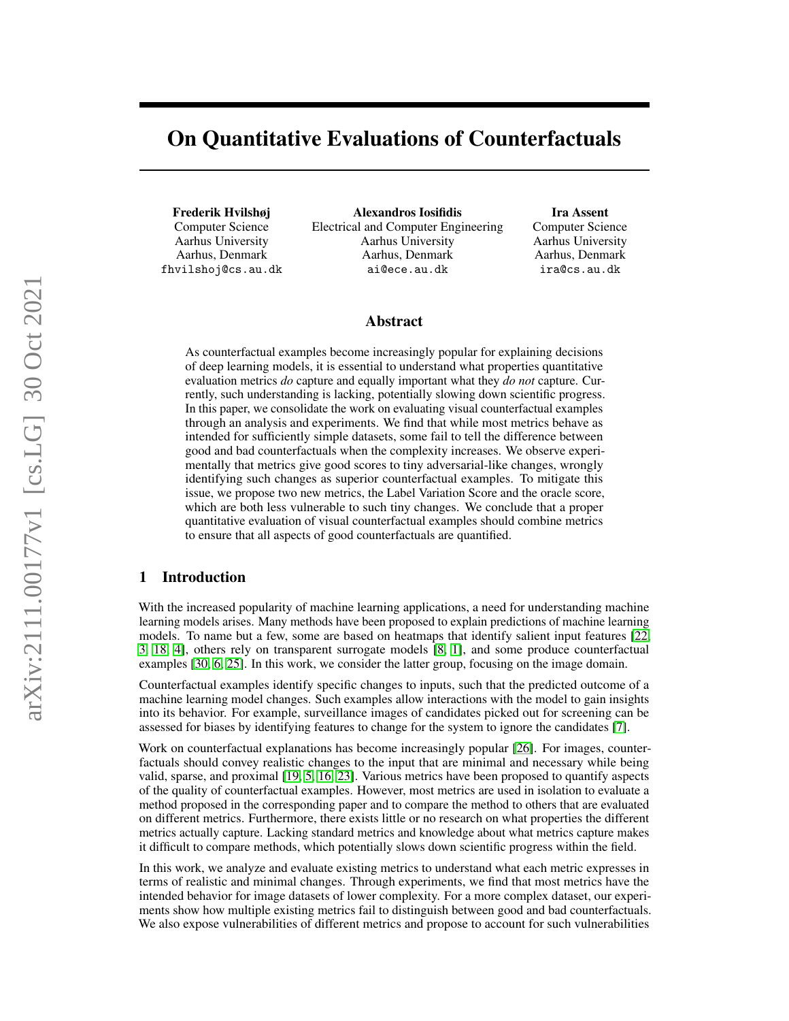# On Quantitative Evaluations of Counterfactuals

Frederik Hvilshøj Computer Science Aarhus University Aarhus, Denmark fhvilshoj@cs.au.dk

Alexandros Iosifidis Electrical and Computer Engineering Aarhus University Aarhus, Denmark ai@ece.au.dk

## Ira Assent

Computer Science Aarhus University Aarhus, Denmark ira@cs.au.dk

#### Abstract

As counterfactual examples become increasingly popular for explaining decisions of deep learning models, it is essential to understand what properties quantitative evaluation metrics *do* capture and equally important what they *do not* capture. Currently, such understanding is lacking, potentially slowing down scientific progress. In this paper, we consolidate the work on evaluating visual counterfactual examples through an analysis and experiments. We find that while most metrics behave as intended for sufficiently simple datasets, some fail to tell the difference between good and bad counterfactuals when the complexity increases. We observe experimentally that metrics give good scores to tiny adversarial-like changes, wrongly identifying such changes as superior counterfactual examples. To mitigate this issue, we propose two new metrics, the Label Variation Score and the oracle score, which are both less vulnerable to such tiny changes. We conclude that a proper quantitative evaluation of visual counterfactual examples should combine metrics to ensure that all aspects of good counterfactuals are quantified.

# 1 Introduction

With the increased popularity of machine learning applications, a need for understanding machine learning models arises. Many methods have been proposed to explain predictions of machine learning models. To name but a few, some are based on heatmaps that identify salient input features [\[22,](#page-10-0) [3,](#page-9-0) [18,](#page-10-1) [4\]](#page-9-1), others rely on transparent surrogate models [\[8,](#page-9-2) [1\]](#page-9-3), and some produce counterfactual examples [\[30,](#page-10-2) [6,](#page-9-4) [25\]](#page-10-3). In this work, we consider the latter group, focusing on the image domain.

Counterfactual examples identify specific changes to inputs, such that the predicted outcome of a machine learning model changes. Such examples allow interactions with the model to gain insights into its behavior. For example, surveillance images of candidates picked out for screening can be assessed for biases by identifying features to change for the system to ignore the candidates [\[7\]](#page-9-5).

Work on counterfactual explanations has become increasingly popular [\[26\]](#page-10-4). For images, counterfactuals should convey realistic changes to the input that are minimal and necessary while being valid, sparse, and proximal [\[19,](#page-10-5) [5,](#page-9-6) [16,](#page-10-6) [23\]](#page-10-7). Various metrics have been proposed to quantify aspects of the quality of counterfactual examples. However, most metrics are used in isolation to evaluate a method proposed in the corresponding paper and to compare the method to others that are evaluated on different metrics. Furthermore, there exists little or no research on what properties the different metrics actually capture. Lacking standard metrics and knowledge about what metrics capture makes it difficult to compare methods, which potentially slows down scientific progress within the field.

In this work, we analyze and evaluate existing metrics to understand what each metric expresses in terms of realistic and minimal changes. Through experiments, we find that most metrics have the intended behavior for image datasets of lower complexity. For a more complex dataset, our experiments show how multiple existing metrics fail to distinguish between good and bad counterfactuals. We also expose vulnerabilities of different metrics and propose to account for such vulnerabilities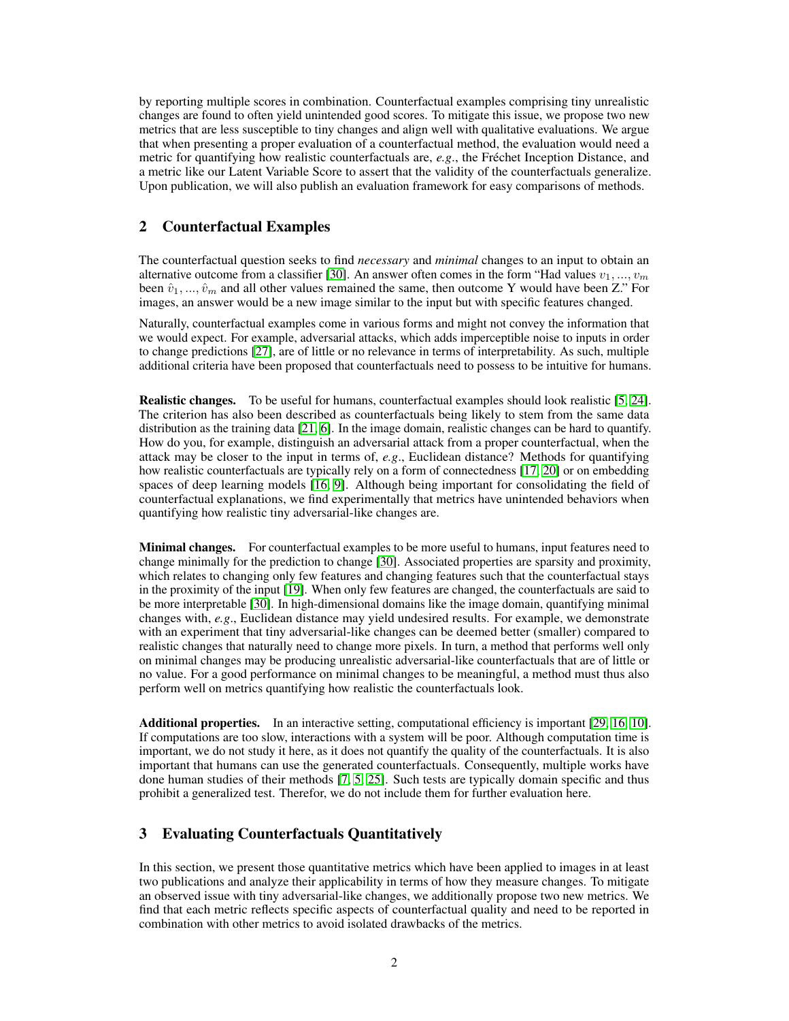by reporting multiple scores in combination. Counterfactual examples comprising tiny unrealistic changes are found to often yield unintended good scores. To mitigate this issue, we propose two new metrics that are less susceptible to tiny changes and align well with qualitative evaluations. We argue that when presenting a proper evaluation of a counterfactual method, the evaluation would need a metric for quantifying how realistic counterfactuals are, *e.g*., the Fréchet Inception Distance, and a metric like our Latent Variable Score to assert that the validity of the counterfactuals generalize. Upon publication, we will also publish an evaluation framework for easy comparisons of methods.

## 2 Counterfactual Examples

The counterfactual question seeks to find *necessary* and *minimal* changes to an input to obtain an alternative outcome from a classifier [\[30\]](#page-10-2). An answer often comes in the form "Had values  $v_1, ..., v_m$ been  $\hat{v}_1, \dots, \hat{v}_m$  and all other values remained the same, then outcome Y would have been Z." For images, an answer would be a new image similar to the input but with specific features changed.

Naturally, counterfactual examples come in various forms and might not convey the information that we would expect. For example, adversarial attacks, which adds imperceptible noise to inputs in order to change predictions [\[27\]](#page-10-8), are of little or no relevance in terms of interpretability. As such, multiple additional criteria have been proposed that counterfactuals need to possess to be intuitive for humans.

Realistic changes. To be useful for humans, counterfactual examples should look realistic [\[5,](#page-9-6) [24\]](#page-10-9). The criterion has also been described as counterfactuals being likely to stem from the same data distribution as the training data [\[21,](#page-10-10) [6\]](#page-9-4). In the image domain, realistic changes can be hard to quantify. How do you, for example, distinguish an adversarial attack from a proper counterfactual, when the attack may be closer to the input in terms of, *e.g*., Euclidean distance? Methods for quantifying how realistic counterfactuals are typically rely on a form of connectedness [\[17,](#page-10-11) [20\]](#page-10-12) or on embedding spaces of deep learning models [\[16,](#page-10-6) [9\]](#page-9-7). Although being important for consolidating the field of counterfactual explanations, we find experimentally that metrics have unintended behaviors when quantifying how realistic tiny adversarial-like changes are.

**Minimal changes.** For counterfactual examples to be more useful to humans, input features need to change minimally for the prediction to change [\[30\]](#page-10-2). Associated properties are sparsity and proximity, which relates to changing only few features and changing features such that the counterfactual stays in the proximity of the input [\[19\]](#page-10-5). When only few features are changed, the counterfactuals are said to be more interpretable [\[30\]](#page-10-2). In high-dimensional domains like the image domain, quantifying minimal changes with, *e.g*., Euclidean distance may yield undesired results. For example, we demonstrate with an experiment that tiny adversarial-like changes can be deemed better (smaller) compared to realistic changes that naturally need to change more pixels. In turn, a method that performs well only on minimal changes may be producing unrealistic adversarial-like counterfactuals that are of little or no value. For a good performance on minimal changes to be meaningful, a method must thus also perform well on metrics quantifying how realistic the counterfactuals look.

Additional properties. In an interactive setting, computational efficiency is important [\[29,](#page-10-13) [16,](#page-10-6) [10\]](#page-9-8). If computations are too slow, interactions with a system will be poor. Although computation time is important, we do not study it here, as it does not quantify the quality of the counterfactuals. It is also important that humans can use the generated counterfactuals. Consequently, multiple works have done human studies of their methods [\[7,](#page-9-5) [5,](#page-9-6) [25\]](#page-10-3). Such tests are typically domain specific and thus prohibit a generalized test. Therefor, we do not include them for further evaluation here.

# <span id="page-1-0"></span>3 Evaluating Counterfactuals Quantitatively

In this section, we present those quantitative metrics which have been applied to images in at least two publications and analyze their applicability in terms of how they measure changes. To mitigate an observed issue with tiny adversarial-like changes, we additionally propose two new metrics. We find that each metric reflects specific aspects of counterfactual quality and need to be reported in combination with other metrics to avoid isolated drawbacks of the metrics.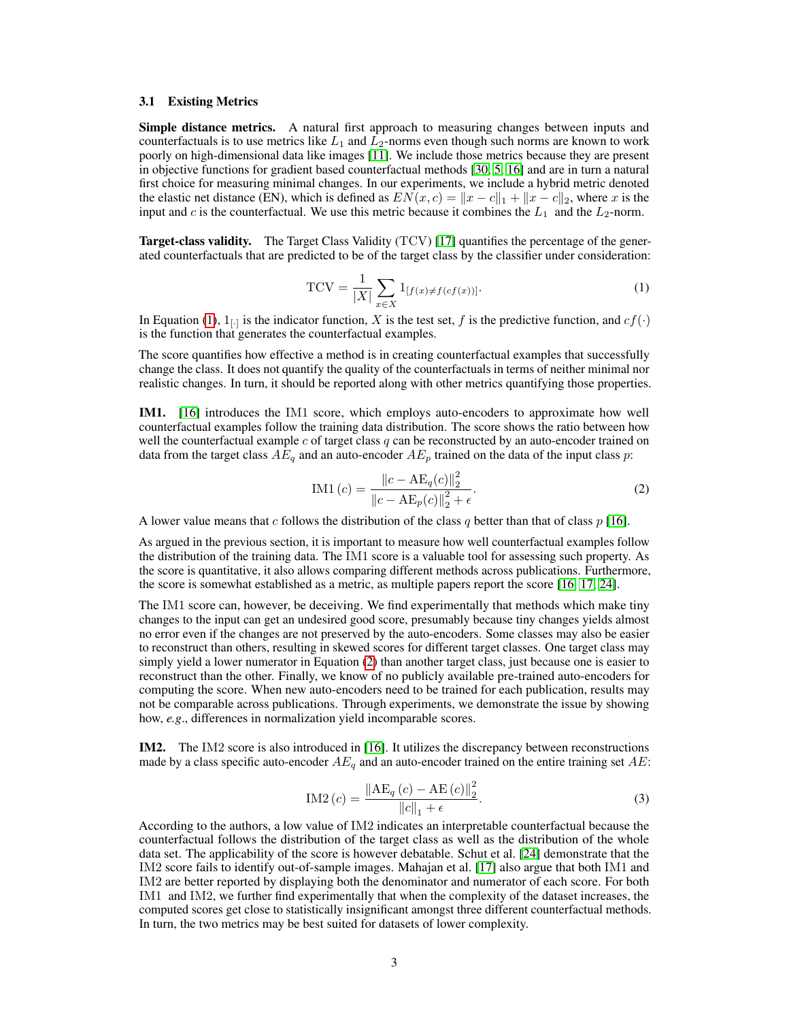#### 3.1 Existing Metrics

Simple distance metrics. A natural first approach to measuring changes between inputs and counterfactuals is to use metrics like  $L_1$  and  $L_2$ -norms even though such norms are known to work poorly on high-dimensional data like images [\[11\]](#page-9-9). We include those metrics because they are present in objective functions for gradient based counterfactual methods [\[30,](#page-10-2) [5,](#page-9-6) [16\]](#page-10-6) and are in turn a natural first choice for measuring minimal changes. In our experiments, we include a hybrid metric denoted the elastic net distance (EN), which is defined as  $EN(x, c) = ||x - c||_1 + ||x - c||_2$ , where x is the input and c is the counterfactual. We use this metric because it combines the  $L_1$  and the  $L_2$ -norm.

<span id="page-2-0"></span>Target-class validity. The Target Class Validity (TCV) [\[17\]](#page-10-11) quantifies the percentage of the generated counterfactuals that are predicted to be of the target class by the classifier under consideration:

$$
TCV = \frac{1}{|X|} \sum_{x \in X} 1_{[f(x) \neq f(cf(x))]}.
$$
 (1)

In Equation [\(1\)](#page-2-0),  $1_{[\cdot]}$  is the indicator function, X is the test set, f is the predictive function, and  $cf(\cdot)$ is the function that generates the counterfactual examples.

The score quantifies how effective a method is in creating counterfactual examples that successfully change the class. It does not quantify the quality of the counterfactuals in terms of neither minimal nor realistic changes. In turn, it should be reported along with other metrics quantifying those properties.

IM1. [\[16\]](#page-10-6) introduces the IM1 score, which employs auto-encoders to approximate how well counterfactual examples follow the training data distribution. The score shows the ratio between how well the counterfactual example c of target class  $q$  can be reconstructed by an auto-encoder trained on data from the target class  $AE_q$  and an auto-encoder  $AE_p$  trained on the data of the input class p:

<span id="page-2-1"></span>
$$
IM1 (c) = \frac{\|c - AE_q(c)\|_2^2}{\|c - AE_p(c)\|_2^2 + \epsilon}.
$$
\n(2)

A lower value means that c follows the distribution of the class q better than that of class  $p$  [\[16\]](#page-10-6).

As argued in the previous section, it is important to measure how well counterfactual examples follow the distribution of the training data. The IM1 score is a valuable tool for assessing such property. As the score is quantitative, it also allows comparing different methods across publications. Furthermore, the score is somewhat established as a metric, as multiple papers report the score [\[16,](#page-10-6) [17,](#page-10-11) [24\]](#page-10-9).

The IM1 score can, however, be deceiving. We find experimentally that methods which make tiny changes to the input can get an undesired good score, presumably because tiny changes yields almost no error even if the changes are not preserved by the auto-encoders. Some classes may also be easier to reconstruct than others, resulting in skewed scores for different target classes. One target class may simply yield a lower numerator in Equation [\(2\)](#page-2-1) than another target class, just because one is easier to reconstruct than the other. Finally, we know of no publicly available pre-trained auto-encoders for computing the score. When new auto-encoders need to be trained for each publication, results may not be comparable across publications. Through experiments, we demonstrate the issue by showing how, *e.g*., differences in normalization yield incomparable scores.

IM2. The IM2 score is also introduced in [\[16\]](#page-10-6). It utilizes the discrepancy between reconstructions made by a class specific auto-encoder  $AE_q$  and an auto-encoder trained on the entire training set  $AE$ :

$$
IM2(c) = \frac{\|AE_q(c) - AE(c)\|_2^2}{\|c\|_1 + \epsilon}.
$$
 (3)

According to the authors, a low value of IM2 indicates an interpretable counterfactual because the counterfactual follows the distribution of the target class as well as the distribution of the whole data set. The applicability of the score is however debatable. Schut et al. [\[24\]](#page-10-9) demonstrate that the IM2 score fails to identify out-of-sample images. Mahajan et al. [\[17\]](#page-10-11) also argue that both IM1 and IM2 are better reported by displaying both the denominator and numerator of each score. For both IM1 and IM2, we further find experimentally that when the complexity of the dataset increases, the computed scores get close to statistically insignificant amongst three different counterfactual methods. In turn, the two metrics may be best suited for datasets of lower complexity.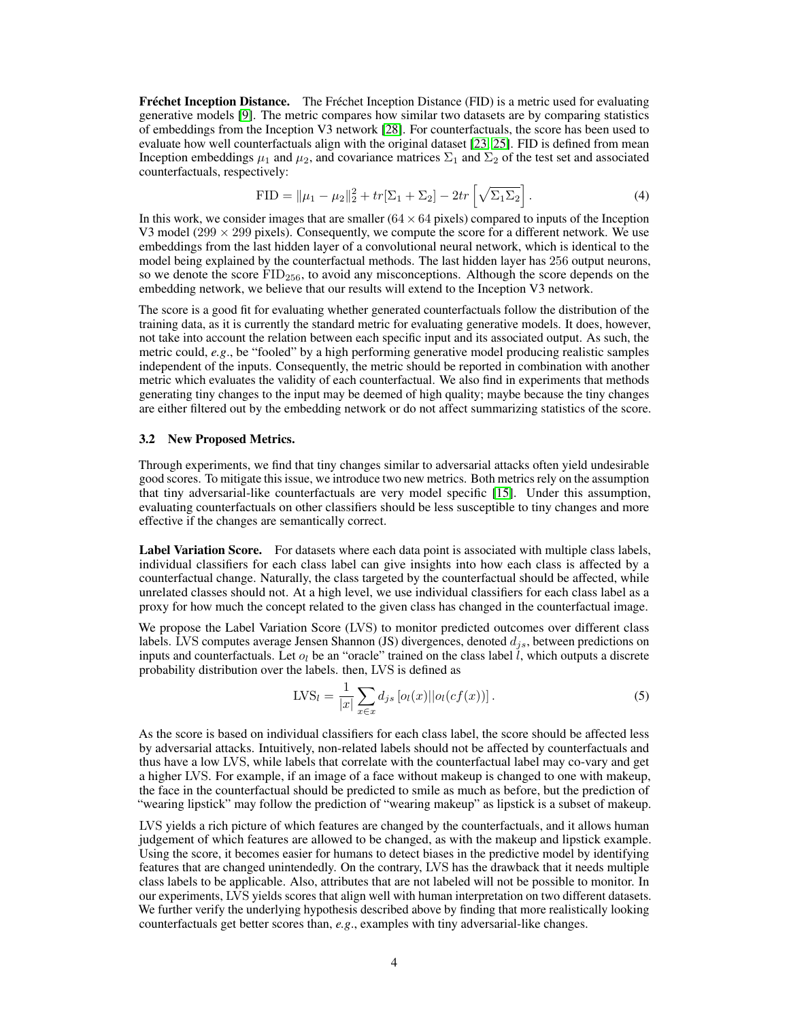Fréchet Inception Distance. The Fréchet Inception Distance (FID) is a metric used for evaluating generative models [\[9\]](#page-9-7). The metric compares how similar two datasets are by comparing statistics of embeddings from the Inception V3 network [\[28\]](#page-10-14). For counterfactuals, the score has been used to evaluate how well counterfactuals align with the original dataset [\[23,](#page-10-7) [25\]](#page-10-3). FID is defined from mean Inception embeddings  $\mu_1$  and  $\mu_2$ , and covariance matrices  $\Sigma_1$  and  $\Sigma_2$  of the test set and associated counterfactuals, respectively:

$$
\text{FID} = \|\mu_1 - \mu_2\|_2^2 + tr[\Sigma_1 + \Sigma_2] - 2tr\left[\sqrt{\Sigma_1 \Sigma_2}\right].\tag{4}
$$

In this work, we consider images that are smaller  $(64 \times 64$  pixels) compared to inputs of the Inception V3 model ( $299 \times 299$  pixels). Consequently, we compute the score for a different network. We use embeddings from the last hidden layer of a convolutional neural network, which is identical to the model being explained by the counterfactual methods. The last hidden layer has 256 output neurons, so we denote the score  $FID_{256}$ , to avoid any misconceptions. Although the score depends on the embedding network, we believe that our results will extend to the Inception V3 network.

The score is a good fit for evaluating whether generated counterfactuals follow the distribution of the training data, as it is currently the standard metric for evaluating generative models. It does, however, not take into account the relation between each specific input and its associated output. As such, the metric could, *e.g*., be "fooled" by a high performing generative model producing realistic samples independent of the inputs. Consequently, the metric should be reported in combination with another metric which evaluates the validity of each counterfactual. We also find in experiments that methods generating tiny changes to the input may be deemed of high quality; maybe because the tiny changes are either filtered out by the embedding network or do not affect summarizing statistics of the score.

#### 3.2 New Proposed Metrics.

Through experiments, we find that tiny changes similar to adversarial attacks often yield undesirable good scores. To mitigate this issue, we introduce two new metrics. Both metrics rely on the assumption that tiny adversarial-like counterfactuals are very model specific [\[15\]](#page-10-15). Under this assumption, evaluating counterfactuals on other classifiers should be less susceptible to tiny changes and more effective if the changes are semantically correct.

Label Variation Score. For datasets where each data point is associated with multiple class labels, individual classifiers for each class label can give insights into how each class is affected by a counterfactual change. Naturally, the class targeted by the counterfactual should be affected, while unrelated classes should not. At a high level, we use individual classifiers for each class label as a proxy for how much the concept related to the given class has changed in the counterfactual image.

We propose the Label Variation Score (LVS) to monitor predicted outcomes over different class labels. LVS computes average Jensen Shannon (JS) divergences, denoted  $d_{is}$ , between predictions on inputs and counterfactuals. Let  $o_l$  be an "oracle" trained on the class label l, which outputs a discrete probability distribution over the labels. then, LVS is defined as

$$
LVS_l = \frac{1}{|x|} \sum_{x \in x} d_{js} \left[ o_l(x) ||o_l(cf(x)) \right].
$$
 (5)

As the score is based on individual classifiers for each class label, the score should be affected less by adversarial attacks. Intuitively, non-related labels should not be affected by counterfactuals and thus have a low LVS, while labels that correlate with the counterfactual label may co-vary and get a higher LVS. For example, if an image of a face without makeup is changed to one with makeup, the face in the counterfactual should be predicted to smile as much as before, but the prediction of "wearing lipstick" may follow the prediction of "wearing makeup" as lipstick is a subset of makeup.

LVS yields a rich picture of which features are changed by the counterfactuals, and it allows human judgement of which features are allowed to be changed, as with the makeup and lipstick example. Using the score, it becomes easier for humans to detect biases in the predictive model by identifying features that are changed unintendedly. On the contrary, LVS has the drawback that it needs multiple class labels to be applicable. Also, attributes that are not labeled will not be possible to monitor. In our experiments, LVS yields scores that align well with human interpretation on two different datasets. We further verify the underlying hypothesis described above by finding that more realistically looking counterfactuals get better scores than, *e.g*., examples with tiny adversarial-like changes.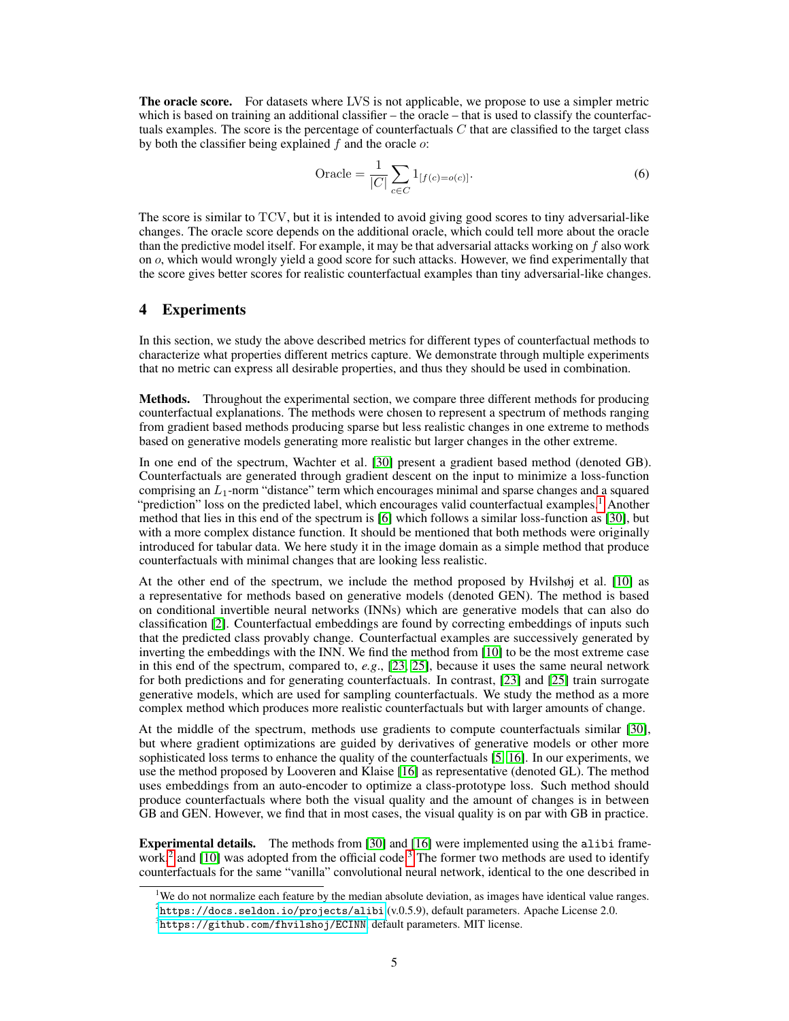**The oracle score.** For datasets where LVS is not applicable, we propose to use a simpler metric which is based on training an additional classifier – the oracle – that is used to classify the counterfactuals examples. The score is the percentage of counterfactuals  $C$  that are classified to the target class by both the classifier being explained  $f$  and the oracle  $o$ :

Oracle = 
$$
\frac{1}{|C|} \sum_{c \in C} 1_{[f(c) = o(c)]}.
$$
 (6)

The score is similar to TCV, but it is intended to avoid giving good scores to tiny adversarial-like changes. The oracle score depends on the additional oracle, which could tell more about the oracle than the predictive model itself. For example, it may be that adversarial attacks working on  $f$  also work on o, which would wrongly yield a good score for such attacks. However, we find experimentally that the score gives better scores for realistic counterfactual examples than tiny adversarial-like changes.

## 4 Experiments

In this section, we study the above described metrics for different types of counterfactual methods to characterize what properties different metrics capture. We demonstrate through multiple experiments that no metric can express all desirable properties, and thus they should be used in combination.

Methods. Throughout the experimental section, we compare three different methods for producing counterfactual explanations. The methods were chosen to represent a spectrum of methods ranging from gradient based methods producing sparse but less realistic changes in one extreme to methods based on generative models generating more realistic but larger changes in the other extreme.

In one end of the spectrum, Wachter et al. [\[30\]](#page-10-2) present a gradient based method (denoted GB). Counterfactuals are generated through gradient descent on the input to minimize a loss-function comprising an  $L_1$ -norm "distance" term which encourages minimal and sparse changes and a squared "prediction" loss on the predicted label, which encourages valid counterfactual examples.<sup>[1](#page-4-0)</sup> Another method that lies in this end of the spectrum is [\[6\]](#page-9-4) which follows a similar loss-function as [\[30\]](#page-10-2), but with a more complex distance function. It should be mentioned that both methods were originally introduced for tabular data. We here study it in the image domain as a simple method that produce counterfactuals with minimal changes that are looking less realistic.

At the other end of the spectrum, we include the method proposed by Hvilshøj et al. [\[10\]](#page-9-8) as a representative for methods based on generative models (denoted GEN). The method is based on conditional invertible neural networks (INNs) which are generative models that can also do classification [\[2\]](#page-9-10). Counterfactual embeddings are found by correcting embeddings of inputs such that the predicted class provably change. Counterfactual examples are successively generated by inverting the embeddings with the INN. We find the method from [\[10\]](#page-9-8) to be the most extreme case in this end of the spectrum, compared to, *e.g*., [\[23,](#page-10-7) [25\]](#page-10-3), because it uses the same neural network for both predictions and for generating counterfactuals. In contrast, [\[23\]](#page-10-7) and [\[25\]](#page-10-3) train surrogate generative models, which are used for sampling counterfactuals. We study the method as a more complex method which produces more realistic counterfactuals but with larger amounts of change.

At the middle of the spectrum, methods use gradients to compute counterfactuals similar [\[30\]](#page-10-2), but where gradient optimizations are guided by derivatives of generative models or other more sophisticated loss terms to enhance the quality of the counterfactuals [\[5,](#page-9-6) [16\]](#page-10-6). In our experiments, we use the method proposed by Looveren and Klaise [\[16\]](#page-10-6) as representative (denoted GL). The method uses embeddings from an auto-encoder to optimize a class-prototype loss. Such method should produce counterfactuals where both the visual quality and the amount of changes is in between GB and GEN. However, we find that in most cases, the visual quality is on par with GB in practice.

Experimental details. The methods from [\[30\]](#page-10-2) and [\[16\]](#page-10-6) were implemented using the alibi frame-work,<sup>[2](#page-4-1)</sup> and [\[10\]](#page-9-8) was adopted from the official code.<sup>[3](#page-4-2)</sup> The former two methods are used to identify counterfactuals for the same "vanilla" convolutional neural network, identical to the one described in

<span id="page-4-0"></span><sup>&</sup>lt;sup>1</sup>We do not normalize each feature by the median absolute deviation, as images have identical value ranges.

<span id="page-4-1"></span> $^2$ <https://docs.seldon.io/projects/alibi> (v.0.5.9), default parameters. Apache License 2.0.

<span id="page-4-2"></span> $^3$ <https://github.com/fhvilshoj/ECINN>, default parameters. MIT license.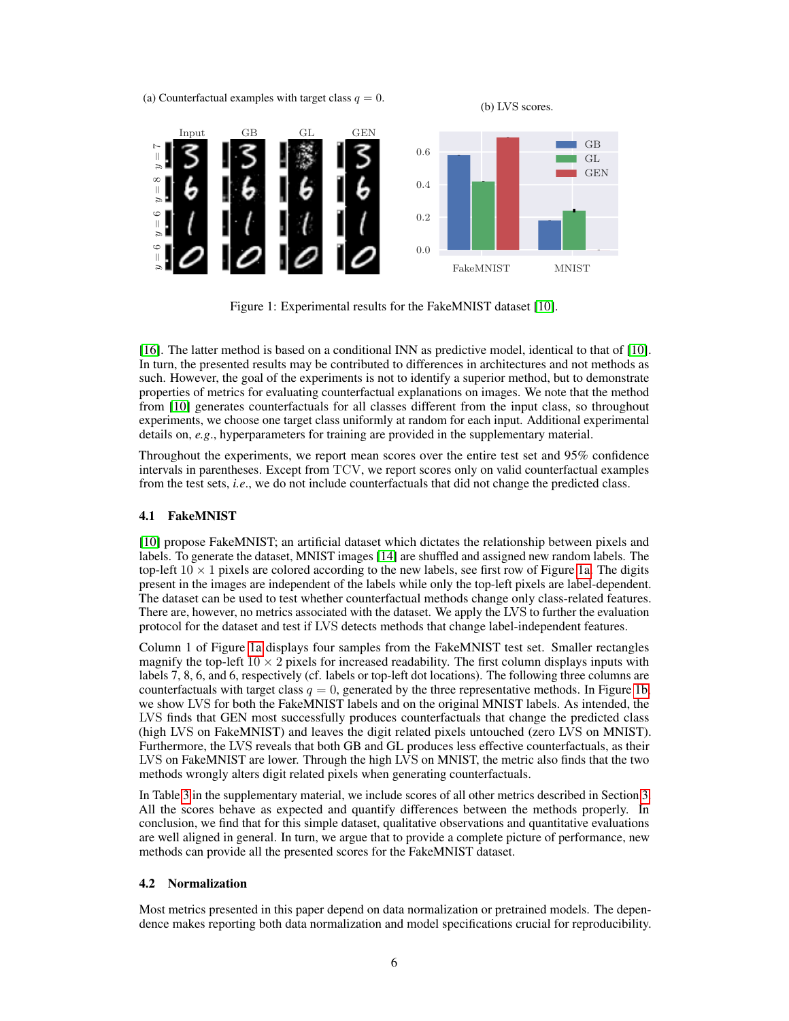<span id="page-5-0"></span>(a) Counterfactual examples with target class  $q = 0$ .

(b) LVS scores.



Figure 1: Experimental results for the FakeMNIST dataset [\[10\]](#page-9-8).

[\[16\]](#page-10-6). The latter method is based on a conditional INN as predictive model, identical to that of [\[10\]](#page-9-8). In turn, the presented results may be contributed to differences in architectures and not methods as such. However, the goal of the experiments is not to identify a superior method, but to demonstrate properties of metrics for evaluating counterfactual explanations on images. We note that the method from [\[10\]](#page-9-8) generates counterfactuals for all classes different from the input class, so throughout experiments, we choose one target class uniformly at random for each input. Additional experimental details on, *e.g*., hyperparameters for training are provided in the supplementary material.

Throughout the experiments, we report mean scores over the entire test set and 95% confidence intervals in parentheses. Except from TCV, we report scores only on valid counterfactual examples from the test sets, *i.e*., we do not include counterfactuals that did not change the predicted class.

#### 4.1 FakeMNIST

[\[10\]](#page-9-8) propose FakeMNIST; an artificial dataset which dictates the relationship between pixels and labels. To generate the dataset, MNIST images [\[14\]](#page-10-16) are shuffled and assigned new random labels. The top-left  $10 \times 1$  pixels are colored according to the new labels, see first row of Figure [1a.](#page-5-0) The digits present in the images are independent of the labels while only the top-left pixels are label-dependent. The dataset can be used to test whether counterfactual methods change only class-related features. There are, however, no metrics associated with the dataset. We apply the LVS to further the evaluation protocol for the dataset and test if LVS detects methods that change label-independent features.

Column 1 of Figure [1a](#page-5-0) displays four samples from the FakeMNIST test set. Smaller rectangles magnify the top-left  $10 \times 2$  pixels for increased readability. The first column displays inputs with labels 7, 8, 6, and 6, respectively (cf. labels or top-left dot locations). The following three columns are counterfactuals with target class  $q = 0$ , generated by the three representative methods. In Figure [1b,](#page-5-0) we show LVS for both the FakeMNIST labels and on the original MNIST labels. As intended, the LVS finds that GEN most successfully produces counterfactuals that change the predicted class (high LVS on FakeMNIST) and leaves the digit related pixels untouched (zero LVS on MNIST). Furthermore, the LVS reveals that both GB and GL produces less effective counterfactuals, as their LVS on FakeMNIST are lower. Through the high LVS on MNIST, the metric also finds that the two methods wrongly alters digit related pixels when generating counterfactuals.

In Table [3](#page-11-0) in the supplementary material, we include scores of all other metrics described in Section [3.](#page-1-0) All the scores behave as expected and quantify differences between the methods properly. In conclusion, we find that for this simple dataset, qualitative observations and quantitative evaluations are well aligned in general. In turn, we argue that to provide a complete picture of performance, new methods can provide all the presented scores for the FakeMNIST dataset.

#### 4.2 Normalization

Most metrics presented in this paper depend on data normalization or pretrained models. The dependence makes reporting both data normalization and model specifications crucial for reproducibility.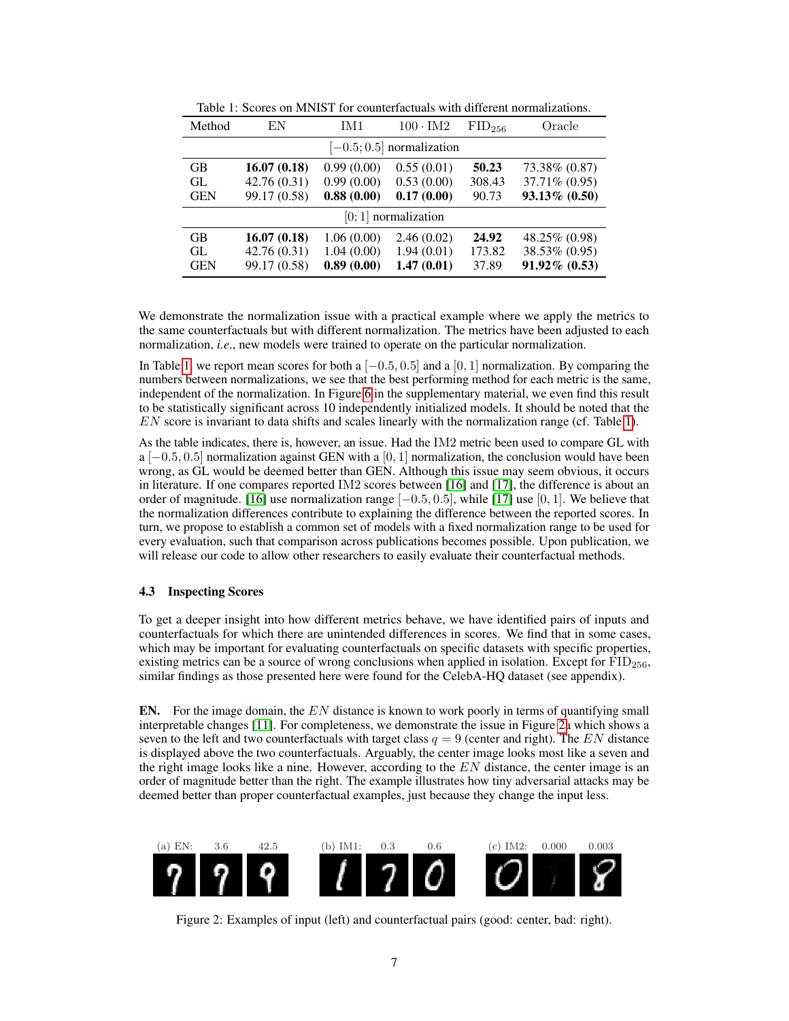<span id="page-6-0"></span>

| Method                      | EN           | IM1        | $100 \cdot \text{IM}2$ | FID <sub>256</sub> | Oracle         |  |  |
|-----------------------------|--------------|------------|------------------------|--------------------|----------------|--|--|
| $[-0.5; 0.5]$ normalization |              |            |                        |                    |                |  |  |
| <b>GB</b>                   | 16.07(0.18)  | 0.99(0.00) | 0.55(0.01)             | 50.23              | 73.38% (0.87)  |  |  |
| GL.                         | 42.76(0.31)  | 0.99(0.00) | 0.53(0.00)             | 308.43             | 37.71\% (0.95) |  |  |
| <b>GEN</b>                  | 99.17 (0.58) | 0.88(0.00) | 0.17(0.00)             | 90.73              | 93.13% (0.50)  |  |  |
| $[0; 1]$ normalization      |              |            |                        |                    |                |  |  |
| <b>GB</b>                   | 16.07(0.18)  | 1.06(0.00) | 2.46(0.02)             | 24.92              | 48.25% (0.98)  |  |  |
| GL.                         | 42.76(0.31)  | 1.04(0.00) | 1.94(0.01)             | 173.82             | 38.53% (0.95)  |  |  |
| <b>GEN</b>                  | 99.17 (0.58) | 0.89(0.00) | 1.47(0.01)             | 37.89              | 91.92% (0.53)  |  |  |

Table 1: Scores on MNIST for counterfactuals with different normalizations.

We demonstrate the normalization issue with a practical example where we apply the metrics to the same counterfactuals but with different normalization. The metrics have been adjusted to each normalization, *i.e*., new models were trained to operate on the particular normalization.

In Table [1,](#page-6-0) we report mean scores for both a  $[-0.5, 0.5]$  and a  $[0, 1]$  normalization. By comparing the numbers between normalizations, we see that the best performing method for each metric is the same, independent of the normalization. In Figure [6](#page-11-1) in the supplementary material, we even find this result to be statistically significant across 10 independently initialized models. It should be noted that the EN score is invariant to data shifts and scales linearly with the normalization range (cf. Table [1\)](#page-6-0).

As the table indicates, there is, however, an issue. Had the IM2 metric been used to compare GL with a  $[-0.5, 0.5]$  normalization against GEN with a  $[0, 1]$  normalization, the conclusion would have been wrong, as GL would be deemed better than GEN. Although this issue may seem obvious, it occurs in literature. If one compares reported IM2 scores between [\[16\]](#page-10-6) and [\[17\]](#page-10-11), the difference is about an order of magnitude. [\[16\]](#page-10-6) use normalization range  $[-0.5, 0.5]$ , while [\[17\]](#page-10-11) use [0, 1]. We believe that the normalization differences contribute to explaining the difference between the reported scores. In turn, we propose to establish a common set of models with a fixed normalization range to be used for every evaluation, such that comparison across publications becomes possible. Upon publication, we will release our code to allow other researchers to easily evaluate their counterfactual methods.

### <span id="page-6-2"></span>4.3 Inspecting Scores

To get a deeper insight into how different metrics behave, we have identified pairs of inputs and counterfactuals for which there are unintended differences in scores. We find that in some cases, which may be important for evaluating counterfactuals on specific datasets with specific properties, existing metrics can be a source of wrong conclusions when applied in isolation. Except for  $\text{FID}_{256}$ , similar findings as those presented here were found for the CelebA-HQ dataset (see appendix).

**EN.** For the image domain, the  $EN$  distance is known to work poorly in terms of quantifying small interpretable changes [\[11\]](#page-9-9). For completeness, we demonstrate the issue in Figure [2a](#page-6-1) which shows a seven to the left and two counterfactuals with target class  $q = 9$  (center and right). The EN distance is displayed above the two counterfactuals. Arguably, the center image looks most like a seven and the right image looks like a nine. However, according to the  $EN$  distance, the center image is an order of magnitude better than the right. The example illustrates how tiny adversarial attacks may be deemed better than proper counterfactual examples, just because they change the input less.

<span id="page-6-1"></span>

Figure 2: Examples of input (left) and counterfactual pairs (good: center, bad: right).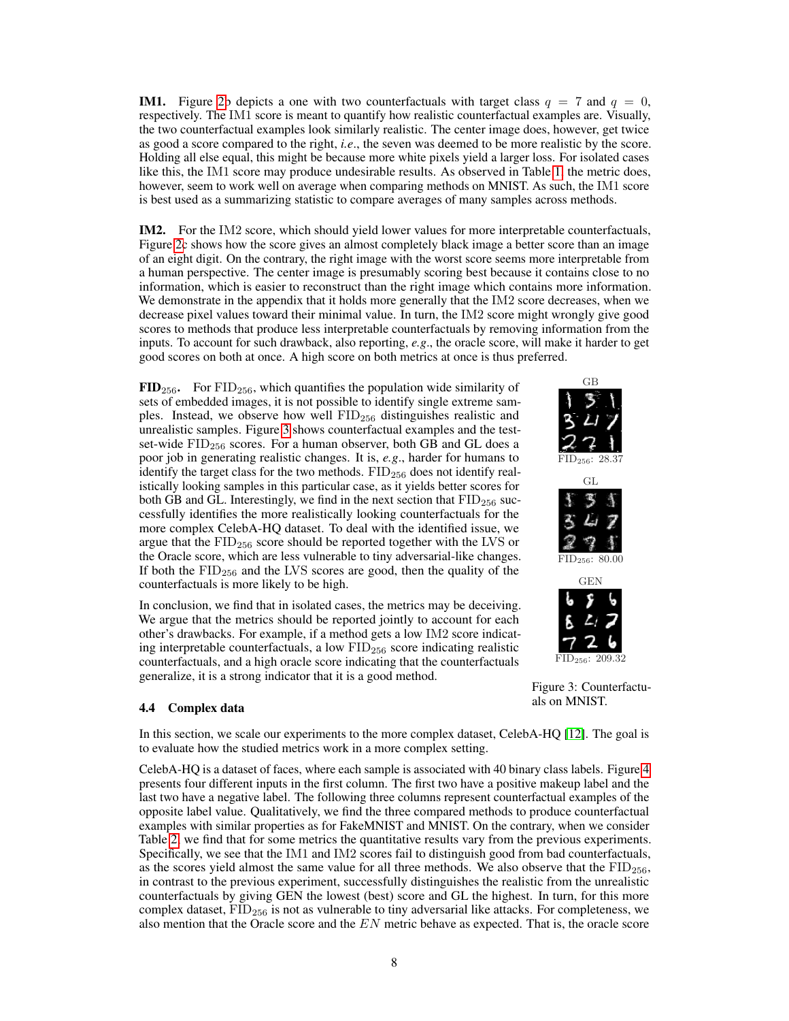**IM1.** Figure [2b](#page-6-1) depicts a one with two counterfactuals with target class  $q = 7$  and  $q = 0$ , respectively. The IM1 score is meant to quantify how realistic counterfactual examples are. Visually, the two counterfactual examples look similarly realistic. The center image does, however, get twice as good a score compared to the right, *i.e*., the seven was deemed to be more realistic by the score. Holding all else equal, this might be because more white pixels yield a larger loss. For isolated cases like this, the IM1 score may produce undesirable results. As observed in Table [1,](#page-6-0) the metric does, however, seem to work well on average when comparing methods on MNIST. As such, the IM1 score is best used as a summarizing statistic to compare averages of many samples across methods.

IM2. For the IM2 score, which should yield lower values for more interpretable counterfactuals, Figure [2c](#page-6-1) shows how the score gives an almost completely black image a better score than an image of an eight digit. On the contrary, the right image with the worst score seems more interpretable from a human perspective. The center image is presumably scoring best because it contains close to no information, which is easier to reconstruct than the right image which contains more information. We demonstrate in the appendix that it holds more generally that the IM2 score decreases, when we decrease pixel values toward their minimal value. In turn, the IM2 score might wrongly give good scores to methods that produce less interpretable counterfactuals by removing information from the inputs. To account for such drawback, also reporting, *e.g*., the oracle score, will make it harder to get good scores on both at once. A high score on both metrics at once is thus preferred.

 $\text{FID}_{256}$ . For  $\text{FID}_{256}$ , which quantifies the population wide similarity of sets of embedded images, it is not possible to identify single extreme samples. Instead, we observe how well  $\text{FID}_{256}$  distinguishes realistic and unrealistic samples. Figure [3](#page-7-0) shows counterfactual examples and the testset-wide  $FID<sub>256</sub>$  scores. For a human observer, both GB and GL does a poor job in generating realistic changes. It is, *e.g*., harder for humans to identify the target class for the two methods.  $FID<sub>256</sub>$  does not identify realistically looking samples in this particular case, as it yields better scores for both GB and GL. Interestingly, we find in the next section that  $\text{FID}_{256}$  successfully identifies the more realistically looking counterfactuals for the more complex CelebA-HQ dataset. To deal with the identified issue, we argue that the  $\text{FID}_{256}$  score should be reported together with the LVS or the Oracle score, which are less vulnerable to tiny adversarial-like changes. If both the  $\text{FID}_{256}$  and the LVS scores are good, then the quality of the counterfactuals is more likely to be high.

In conclusion, we find that in isolated cases, the metrics may be deceiving. We argue that the metrics should be reported jointly to account for each other's drawbacks. For example, if a method gets a low IM2 score indicating interpretable counterfactuals, a low  $\text{FID}_{256}$  score indicating realistic counterfactuals, and a high oracle score indicating that the counterfactuals generalize, it is a strong indicator that it is a good method.

#### <span id="page-7-1"></span>4.4 Complex data

In this section, we scale our experiments to the more complex dataset, CelebA-HQ [\[12\]](#page-9-11). The goal is to evaluate how the studied metrics work in a more complex setting.

CelebA-HQ is a dataset of faces, where each sample is associated with 40 binary class labels. Figure [4](#page-8-0) presents four different inputs in the first column. The first two have a positive makeup label and the last two have a negative label. The following three columns represent counterfactual examples of the opposite label value. Qualitatively, we find the three compared methods to produce counterfactual examples with similar properties as for FakeMNIST and MNIST. On the contrary, when we consider Table [2,](#page-8-1) we find that for some metrics the quantitative results vary from the previous experiments. Specifically, we see that the IM1 and IM2 scores fail to distinguish good from bad counterfactuals, as the scores yield almost the same value for all three methods. We also observe that the  $\text{FID}_{256}$ , in contrast to the previous experiment, successfully distinguishes the realistic from the unrealistic counterfactuals by giving GEN the lowest (best) score and GL the highest. In turn, for this more complex dataset,  $FID<sub>256</sub>$  is not as vulnerable to tiny adversarial like attacks. For completeness, we also mention that the Oracle score and the  $EN$  metric behave as expected. That is, the oracle score

<span id="page-7-0"></span>





Figure 3: Counterfactuals on MNIST.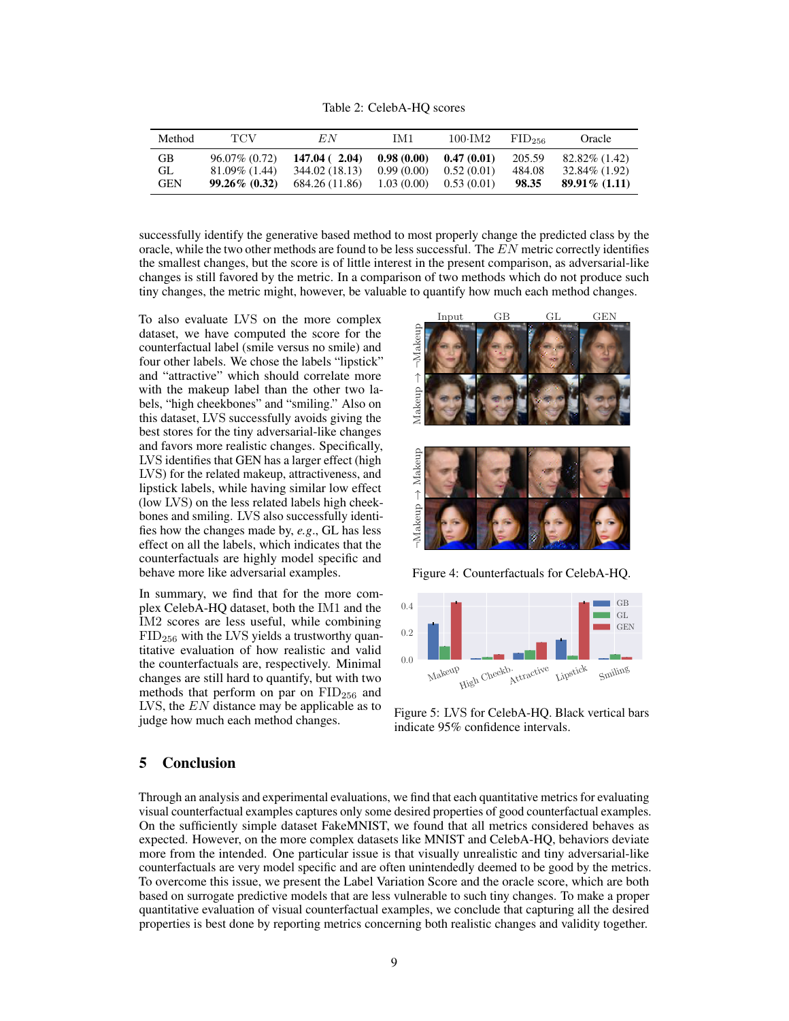Table 2: CelebA-HQ scores

<span id="page-8-1"></span>

| Method     | TCV              | E N            | IM1        | 100.IM2    | $FID_{256}$ | Oracle           |
|------------|------------------|----------------|------------|------------|-------------|------------------|
| GB         | $96.07\%$ (0.72) | 147.04(2.04)   | 0.98(0.00) | 0.47(0.01) | 205.59      | $82.82\%$ (1.42) |
| GL.        | $81.09\%$ (1.44) | 344.02 (18.13) | 0.99(0.00) | 0.52(0.01) | 484.08      | $32.84\%$ (1.92) |
| <b>GEN</b> | $99.26\%$ (0.32) | 684.26 (11.86) | 1.03(0.00) | 0.53(0.01) | 98.35       | $89.91\%$ (1.11) |

successfully identify the generative based method to most properly change the predicted class by the oracle, while the two other methods are found to be less successful. The EN metric correctly identifies the smallest changes, but the score is of little interest in the present comparison, as adversarial-like changes is still favored by the metric. In a comparison of two methods which do not produce such tiny changes, the metric might, however, be valuable to quantify how much each method changes.

To also evaluate LVS on the more complex dataset, we have computed the score for the counterfactual label (smile versus no smile) and four other labels. We chose the labels "lipstick" and "attractive" which should correlate more with the makeup label than the other two labels, "high cheekbones" and "smiling." Also on this dataset, LVS successfully avoids giving the best stores for the tiny adversarial-like changes and favors more realistic changes. Specifically, LVS identifies that GEN has a larger effect (high LVS) for the related makeup, attractiveness, and lipstick labels, while having similar low effect (low LVS) on the less related labels high cheekbones and smiling. LVS also successfully identifies how the changes made by, *e.g*., GL has less effect on all the labels, which indicates that the counterfactuals are highly model specific and behave more like adversarial examples.

In summary, we find that for the more complex CelebA-HQ dataset, both the IM1 and the IM2 scores are less useful, while combining  $FID<sub>256</sub>$  with the LVS yields a trustworthy quantitative evaluation of how realistic and valid the counterfactuals are, respectively. Minimal changes are still hard to quantify, but with two methods that perform on par on  $\text{FID}_{256}$  and LVS, the EN distance may be applicable as to judge how much each method changes.

<span id="page-8-0"></span>



Figure 4: Counterfactuals for CelebA-HQ.



Figure 5: LVS for CelebA-HQ. Black vertical bars indicate 95% confidence intervals.

## 5 Conclusion

Through an analysis and experimental evaluations, we find that each quantitative metrics for evaluating visual counterfactual examples captures only some desired properties of good counterfactual examples. On the sufficiently simple dataset FakeMNIST, we found that all metrics considered behaves as expected. However, on the more complex datasets like MNIST and CelebA-HQ, behaviors deviate more from the intended. One particular issue is that visually unrealistic and tiny adversarial-like counterfactuals are very model specific and are often unintendedly deemed to be good by the metrics. To overcome this issue, we present the Label Variation Score and the oracle score, which are both based on surrogate predictive models that are less vulnerable to such tiny changes. To make a proper quantitative evaluation of visual counterfactual examples, we conclude that capturing all the desired properties is best done by reporting metrics concerning both realistic changes and validity together.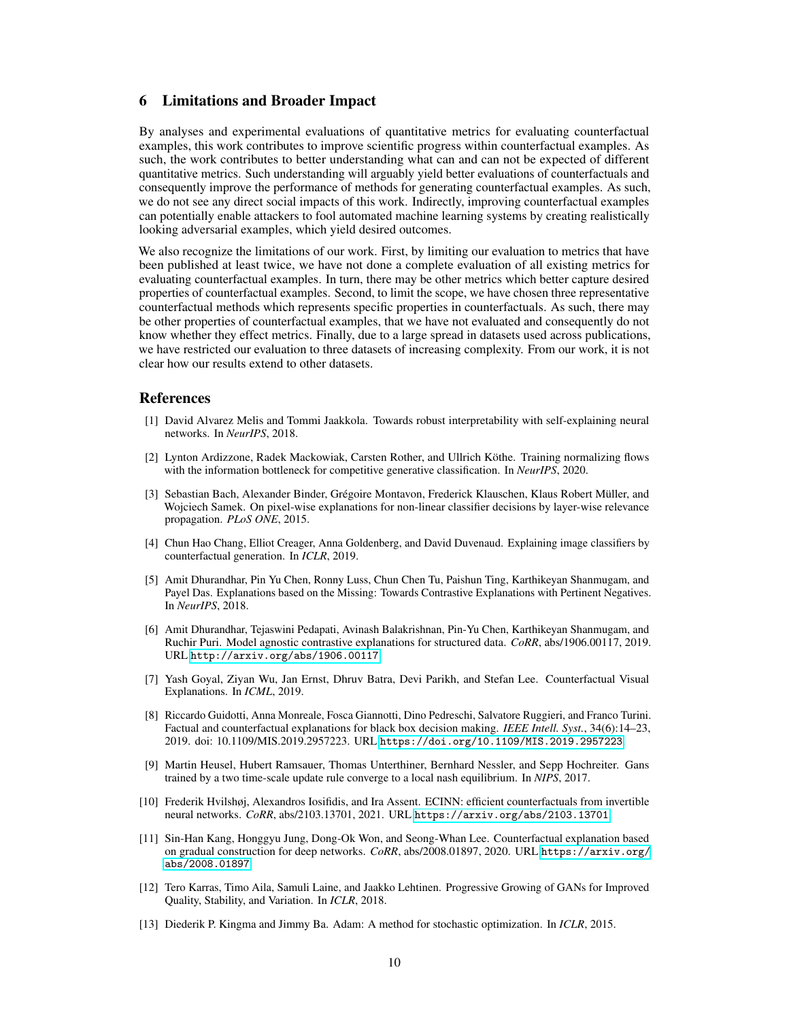## 6 Limitations and Broader Impact

By analyses and experimental evaluations of quantitative metrics for evaluating counterfactual examples, this work contributes to improve scientific progress within counterfactual examples. As such, the work contributes to better understanding what can and can not be expected of different quantitative metrics. Such understanding will arguably yield better evaluations of counterfactuals and consequently improve the performance of methods for generating counterfactual examples. As such, we do not see any direct social impacts of this work. Indirectly, improving counterfactual examples can potentially enable attackers to fool automated machine learning systems by creating realistically looking adversarial examples, which yield desired outcomes.

We also recognize the limitations of our work. First, by limiting our evaluation to metrics that have been published at least twice, we have not done a complete evaluation of all existing metrics for evaluating counterfactual examples. In turn, there may be other metrics which better capture desired properties of counterfactual examples. Second, to limit the scope, we have chosen three representative counterfactual methods which represents specific properties in counterfactuals. As such, there may be other properties of counterfactual examples, that we have not evaluated and consequently do not know whether they effect metrics. Finally, due to a large spread in datasets used across publications, we have restricted our evaluation to three datasets of increasing complexity. From our work, it is not clear how our results extend to other datasets.

### **References**

- <span id="page-9-3"></span>[1] David Alvarez Melis and Tommi Jaakkola. Towards robust interpretability with self-explaining neural networks. In *NeurIPS*, 2018.
- <span id="page-9-10"></span>[2] Lynton Ardizzone, Radek Mackowiak, Carsten Rother, and Ullrich Köthe. Training normalizing flows with the information bottleneck for competitive generative classification. In *NeurIPS*, 2020.
- <span id="page-9-0"></span>[3] Sebastian Bach, Alexander Binder, Grégoire Montavon, Frederick Klauschen, Klaus Robert Müller, and Wojciech Samek. On pixel-wise explanations for non-linear classifier decisions by layer-wise relevance propagation. *PLoS ONE*, 2015.
- <span id="page-9-1"></span>[4] Chun Hao Chang, Elliot Creager, Anna Goldenberg, and David Duvenaud. Explaining image classifiers by counterfactual generation. In *ICLR*, 2019.
- <span id="page-9-6"></span>[5] Amit Dhurandhar, Pin Yu Chen, Ronny Luss, Chun Chen Tu, Paishun Ting, Karthikeyan Shanmugam, and Payel Das. Explanations based on the Missing: Towards Contrastive Explanations with Pertinent Negatives. In *NeurIPS*, 2018.
- <span id="page-9-4"></span>[6] Amit Dhurandhar, Tejaswini Pedapati, Avinash Balakrishnan, Pin-Yu Chen, Karthikeyan Shanmugam, and Ruchir Puri. Model agnostic contrastive explanations for structured data. *CoRR*, abs/1906.00117, 2019. URL <http://arxiv.org/abs/1906.00117>.
- <span id="page-9-5"></span>[7] Yash Goyal, Ziyan Wu, Jan Ernst, Dhruv Batra, Devi Parikh, and Stefan Lee. Counterfactual Visual Explanations. In *ICML*, 2019.
- <span id="page-9-2"></span>[8] Riccardo Guidotti, Anna Monreale, Fosca Giannotti, Dino Pedreschi, Salvatore Ruggieri, and Franco Turini. Factual and counterfactual explanations for black box decision making. *IEEE Intell. Syst.*, 34(6):14–23, 2019. doi: 10.1109/MIS.2019.2957223. URL <https://doi.org/10.1109/MIS.2019.2957223>.
- <span id="page-9-7"></span>[9] Martin Heusel, Hubert Ramsauer, Thomas Unterthiner, Bernhard Nessler, and Sepp Hochreiter. Gans trained by a two time-scale update rule converge to a local nash equilibrium. In *NIPS*, 2017.
- <span id="page-9-8"></span>[10] Frederik Hvilshøj, Alexandros Iosifidis, and Ira Assent. ECINN: efficient counterfactuals from invertible neural networks. *CoRR*, abs/2103.13701, 2021. URL <https://arxiv.org/abs/2103.13701>.
- <span id="page-9-9"></span>[11] Sin-Han Kang, Honggyu Jung, Dong-Ok Won, and Seong-Whan Lee. Counterfactual explanation based on gradual construction for deep networks. *CoRR*, abs/2008.01897, 2020. URL [https://arxiv.org/](https://arxiv.org/abs/2008.01897) [abs/2008.01897](https://arxiv.org/abs/2008.01897).
- <span id="page-9-11"></span>[12] Tero Karras, Timo Aila, Samuli Laine, and Jaakko Lehtinen. Progressive Growing of GANs for Improved Quality, Stability, and Variation. In *ICLR*, 2018.
- <span id="page-9-12"></span>[13] Diederik P. Kingma and Jimmy Ba. Adam: A method for stochastic optimization. In *ICLR*, 2015.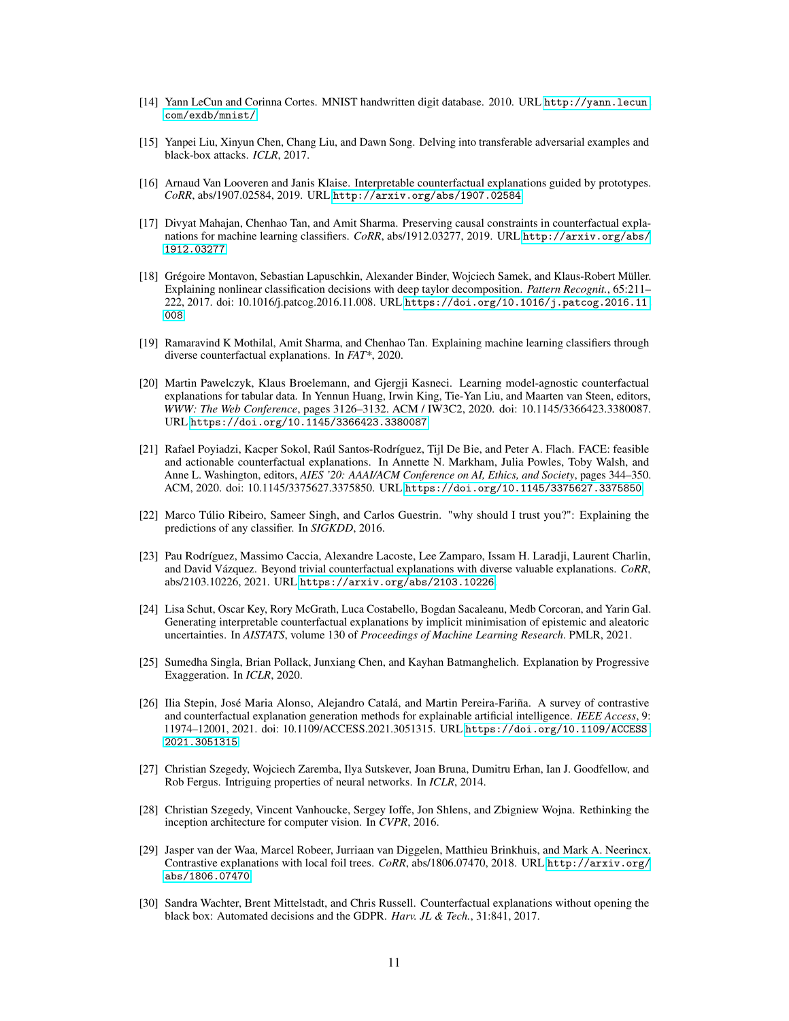- <span id="page-10-16"></span>[14] Yann LeCun and Corinna Cortes. MNIST handwritten digit database. 2010. URL [http://yann.lecun.](http://yann.lecun.com/exdb/mnist/) [com/exdb/mnist/](http://yann.lecun.com/exdb/mnist/).
- <span id="page-10-15"></span>[15] Yanpei Liu, Xinyun Chen, Chang Liu, and Dawn Song. Delving into transferable adversarial examples and black-box attacks. *ICLR*, 2017.
- <span id="page-10-6"></span>[16] Arnaud Van Looveren and Janis Klaise. Interpretable counterfactual explanations guided by prototypes. *CoRR*, abs/1907.02584, 2019. URL <http://arxiv.org/abs/1907.02584>.
- <span id="page-10-11"></span>[17] Divyat Mahajan, Chenhao Tan, and Amit Sharma. Preserving causal constraints in counterfactual explanations for machine learning classifiers. *CoRR*, abs/1912.03277, 2019. URL [http://arxiv.org/abs/](http://arxiv.org/abs/1912.03277) [1912.03277](http://arxiv.org/abs/1912.03277).
- <span id="page-10-1"></span>[18] Grégoire Montavon, Sebastian Lapuschkin, Alexander Binder, Wojciech Samek, and Klaus-Robert Müller. Explaining nonlinear classification decisions with deep taylor decomposition. *Pattern Recognit.*, 65:211– 222, 2017. doi: 10.1016/j.patcog.2016.11.008. URL [https://doi.org/10.1016/j.patcog.2016.11.](https://doi.org/10.1016/j.patcog.2016.11.008) [008](https://doi.org/10.1016/j.patcog.2016.11.008).
- <span id="page-10-5"></span>[19] Ramaravind K Mothilal, Amit Sharma, and Chenhao Tan. Explaining machine learning classifiers through diverse counterfactual explanations. In *FAT\**, 2020.
- <span id="page-10-12"></span>[20] Martin Pawelczyk, Klaus Broelemann, and Gjergji Kasneci. Learning model-agnostic counterfactual explanations for tabular data. In Yennun Huang, Irwin King, Tie-Yan Liu, and Maarten van Steen, editors, *WWW: The Web Conference*, pages 3126–3132. ACM / IW3C2, 2020. doi: 10.1145/3366423.3380087. URL <https://doi.org/10.1145/3366423.3380087>.
- <span id="page-10-10"></span>[21] Rafael Poyiadzi, Kacper Sokol, Raúl Santos-Rodríguez, Tijl De Bie, and Peter A. Flach. FACE: feasible and actionable counterfactual explanations. In Annette N. Markham, Julia Powles, Toby Walsh, and Anne L. Washington, editors, *AIES '20: AAAI/ACM Conference on AI, Ethics, and Society*, pages 344–350. ACM, 2020. doi: 10.1145/3375627.3375850. URL <https://doi.org/10.1145/3375627.3375850>.
- <span id="page-10-0"></span>[22] Marco Túlio Ribeiro, Sameer Singh, and Carlos Guestrin. "why should I trust you?": Explaining the predictions of any classifier. In *SIGKDD*, 2016.
- <span id="page-10-7"></span>[23] Pau Rodríguez, Massimo Caccia, Alexandre Lacoste, Lee Zamparo, Issam H. Laradji, Laurent Charlin, and David Vázquez. Beyond trivial counterfactual explanations with diverse valuable explanations. *CoRR*, abs/2103.10226, 2021. URL <https://arxiv.org/abs/2103.10226>.
- <span id="page-10-9"></span>[24] Lisa Schut, Oscar Key, Rory McGrath, Luca Costabello, Bogdan Sacaleanu, Medb Corcoran, and Yarin Gal. Generating interpretable counterfactual explanations by implicit minimisation of epistemic and aleatoric uncertainties. In *AISTATS*, volume 130 of *Proceedings of Machine Learning Research*. PMLR, 2021.
- <span id="page-10-3"></span>[25] Sumedha Singla, Brian Pollack, Junxiang Chen, and Kayhan Batmanghelich. Explanation by Progressive Exaggeration. In *ICLR*, 2020.
- <span id="page-10-4"></span>[26] Ilia Stepin, José Maria Alonso, Alejandro Catalá, and Martin Pereira-Fariña. A survey of contrastive and counterfactual explanation generation methods for explainable artificial intelligence. *IEEE Access*, 9: 11974–12001, 2021. doi: 10.1109/ACCESS.2021.3051315. URL [https://doi.org/10.1109/ACCESS.](https://doi.org/10.1109/ACCESS.2021.3051315) [2021.3051315](https://doi.org/10.1109/ACCESS.2021.3051315).
- <span id="page-10-8"></span>[27] Christian Szegedy, Wojciech Zaremba, Ilya Sutskever, Joan Bruna, Dumitru Erhan, Ian J. Goodfellow, and Rob Fergus. Intriguing properties of neural networks. In *ICLR*, 2014.
- <span id="page-10-14"></span>[28] Christian Szegedy, Vincent Vanhoucke, Sergey Ioffe, Jon Shlens, and Zbigniew Wojna. Rethinking the inception architecture for computer vision. In *CVPR*, 2016.
- <span id="page-10-13"></span>[29] Jasper van der Waa, Marcel Robeer, Jurriaan van Diggelen, Matthieu Brinkhuis, and Mark A. Neerincx. Contrastive explanations with local foil trees. *CoRR*, abs/1806.07470, 2018. URL [http://arxiv.org/](http://arxiv.org/abs/1806.07470) [abs/1806.07470](http://arxiv.org/abs/1806.07470).
- <span id="page-10-2"></span>[30] Sandra Wachter, Brent Mittelstadt, and Chris Russell. Counterfactual explanations without opening the black box: Automated decisions and the GDPR. *Harv. JL & Tech.*, 31:841, 2017.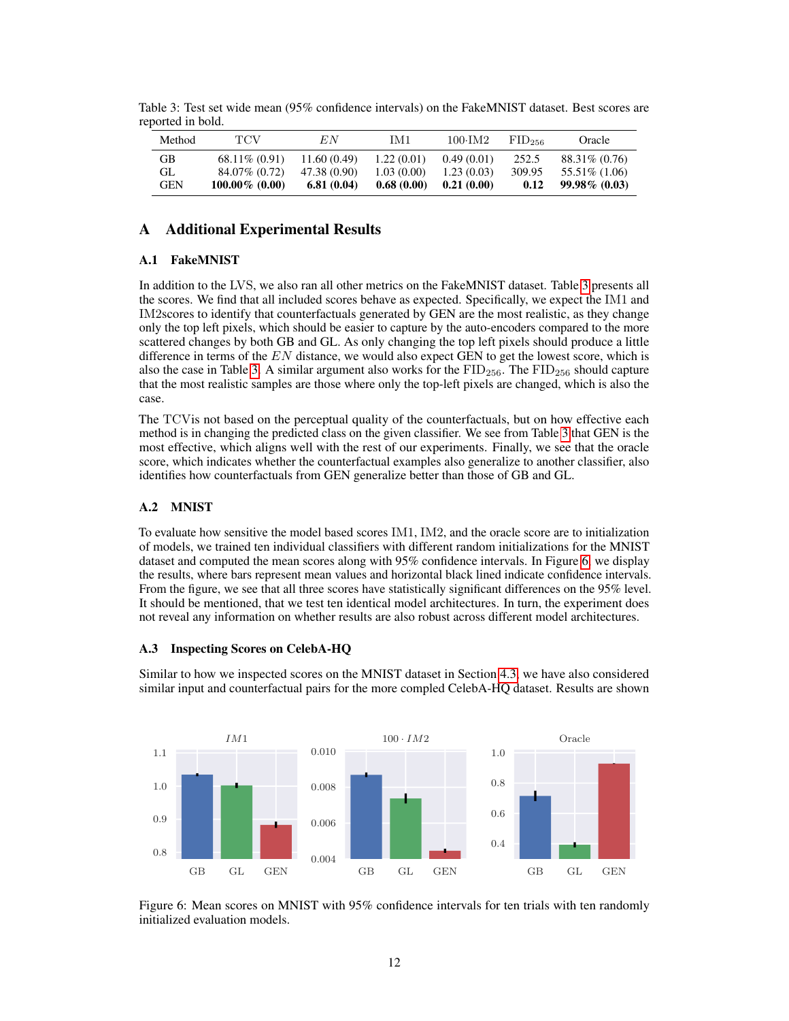| Method     | TCV               | E N          | IM1        | $100 \cdot \text{IM}2$ | $FID_{256}$ | Oracle           |
|------------|-------------------|--------------|------------|------------------------|-------------|------------------|
| GB         | $68.11\% (0.91)$  | 11.60 (0.49) | 1.22(0.01) | 0.49(0.01)             | 252.5       | 88.31\% (0.76)   |
| GL         | 84.07% (0.72)     | 47.38 (0.90) | 1.03(0.00) | 1.23(0.03)             | 309.95      | 55.51\% (1.06)   |
| <b>GEN</b> | $100.00\%$ (0.00) | 6.81(0.04)   | 0.68(0.00) | 0.21(0.00)             | 0.12        | $99.98\%$ (0.03) |

<span id="page-11-0"></span>Table 3: Test set wide mean (95% confidence intervals) on the FakeMNIST dataset. Best scores are reported in bold.

# A Additional Experimental Results

## A.1 FakeMNIST

In addition to the LVS, we also ran all other metrics on the FakeMNIST dataset. Table [3](#page-11-0) presents all the scores. We find that all included scores behave as expected. Specifically, we expect the IM1 and IM2scores to identify that counterfactuals generated by GEN are the most realistic, as they change only the top left pixels, which should be easier to capture by the auto-encoders compared to the more scattered changes by both GB and GL. As only changing the top left pixels should produce a little difference in terms of the  $EN$  distance, we would also expect GEN to get the lowest score, which is also the case in Table [3.](#page-11-0) A similar argument also works for the  $\text{FID}_{256}$ . The  $\text{FID}_{256}$  should capture that the most realistic samples are those where only the top-left pixels are changed, which is also the case.

The TCVis not based on the perceptual quality of the counterfactuals, but on how effective each method is in changing the predicted class on the given classifier. We see from Table [3](#page-11-0) that GEN is the most effective, which aligns well with the rest of our experiments. Finally, we see that the oracle score, which indicates whether the counterfactual examples also generalize to another classifier, also identifies how counterfactuals from GEN generalize better than those of GB and GL.

## A.2 MNIST

To evaluate how sensitive the model based scores IM1, IM2, and the oracle score are to initialization of models, we trained ten individual classifiers with different random initializations for the MNIST dataset and computed the mean scores along with 95% confidence intervals. In Figure [6,](#page-11-1) we display the results, where bars represent mean values and horizontal black lined indicate confidence intervals. From the figure, we see that all three scores have statistically significant differences on the 95% level. It should be mentioned, that we test ten identical model architectures. In turn, the experiment does not reveal any information on whether results are also robust across different model architectures.

### A.3 Inspecting Scores on CelebA-HQ

Similar to how we inspected scores on the MNIST dataset in Section [4.3,](#page-6-2) we have also considered similar input and counterfactual pairs for the more compled CelebA-HQ dataset. Results are shown

<span id="page-11-1"></span>

Figure 6: Mean scores on MNIST with 95% confidence intervals for ten trials with ten randomly initialized evaluation models.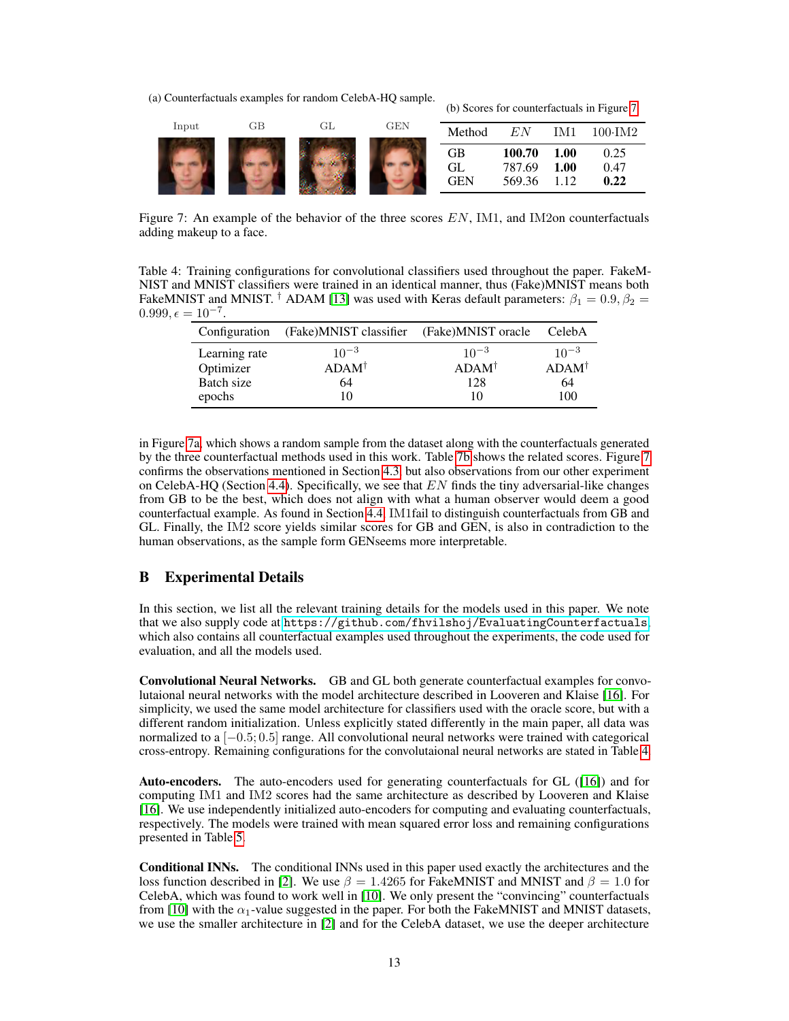<span id="page-12-0"></span>(a) Counterfactuals examples for random CelebA-HQ sample.

| Input | GВ | GL | <b>GEN</b> | Method                 | E N                        | IM1                  | $100 \cdot \text{IM}2$ |
|-------|----|----|------------|------------------------|----------------------------|----------------------|------------------------|
|       |    |    |            | GB<br>GL<br><b>GEN</b> | 100.70<br>787.69<br>569.36 | 1.00<br>1.00<br>l.12 | 0.25<br>0.47<br>0.22   |

(b) Scores for counterfactuals in Figure [7.](#page-12-0)

Figure 7: An example of the behavior of the three scores  $EN$ , IM1, and IM2on counterfactuals adding makeup to a face.

<span id="page-12-1"></span>Table 4: Training configurations for convolutional classifiers used throughout the paper. FakeM-NIST and MNIST classifiers were trained in an identical manner, thus (Fake)MNIST means both FakeMNIST and MNIST. <sup>†</sup> ADAM [\[13\]](#page-9-12) was used with Keras default parameters:  $\beta_1 = 0.9, \beta_2 =$  $0.999, \epsilon = 10^{-7}.$ 

| Configuration | (Fake)MNIST classifier | (Fake)MNIST oracle | CelebA           |
|---------------|------------------------|--------------------|------------------|
| Learning rate | $10^{-3}$              | $10^{-3}$          | $10^{-3}$        |
| Optimizer     | $ADAM^{\dagger}$       | $ADAM^{\dagger}$   | $ADAM^{\dagger}$ |
| Batch size    | 64                     | 128                | 64               |
| epochs        | 10                     | 10                 | 100              |

in Figure [7a,](#page-12-0) which shows a random sample from the dataset along with the counterfactuals generated by the three counterfactual methods used in this work. Table [7b](#page-12-0) shows the related scores. Figure [7](#page-12-0) confirms the observations mentioned in Section [4.3,](#page-6-2) but also observations from our other experiment on CelebA-HQ (Section [4.4\)](#page-7-1). Specifically, we see that  $EN$  finds the tiny adversarial-like changes from GB to be the best, which does not align with what a human observer would deem a good counterfactual example. As found in Section [4.4,](#page-7-1) IM1fail to distinguish counterfactuals from GB and GL. Finally, the IM2 score yields similar scores for GB and GEN, is also in contradiction to the human observations, as the sample form GENseems more interpretable.

# B Experimental Details

In this section, we list all the relevant training details for the models used in this paper. We note that we also supply code at <https://github.com/fhvilshoj/EvaluatingCounterfactuals>, which also contains all counterfactual examples used throughout the experiments, the code used for evaluation, and all the models used.

Convolutional Neural Networks. GB and GL both generate counterfactual examples for convolutaional neural networks with the model architecture described in Looveren and Klaise [\[16\]](#page-10-6). For simplicity, we used the same model architecture for classifiers used with the oracle score, but with a different random initialization. Unless explicitly stated differently in the main paper, all data was normalized to a [−0.5; 0.5] range. All convolutional neural networks were trained with categorical cross-entropy. Remaining configurations for the convolutaional neural networks are stated in Table [4.](#page-12-1)

Auto-encoders. The auto-encoders used for generating counterfactuals for GL ([\[16\]](#page-10-6)) and for computing IM1 and IM2 scores had the same architecture as described by Looveren and Klaise [\[16\]](#page-10-6). We use independently initialized auto-encoders for computing and evaluating counterfactuals, respectively. The models were trained with mean squared error loss and remaining configurations presented in Table [5.](#page-13-0)

Conditional INNs. The conditional INNs used in this paper used exactly the architectures and the loss function described in [\[2\]](#page-9-10). We use  $\beta = 1.4265$  for FakeMNIST and MNIST and  $\beta = 1.0$  for CelebA, which was found to work well in [\[10\]](#page-9-8). We only present the "convincing" counterfactuals from [\[10\]](#page-9-8) with the  $\alpha_1$ -value suggested in the paper. For both the FakeMNIST and MNIST datasets, we use the smaller architecture in [\[2\]](#page-9-10) and for the CelebA dataset, we use the deeper architecture